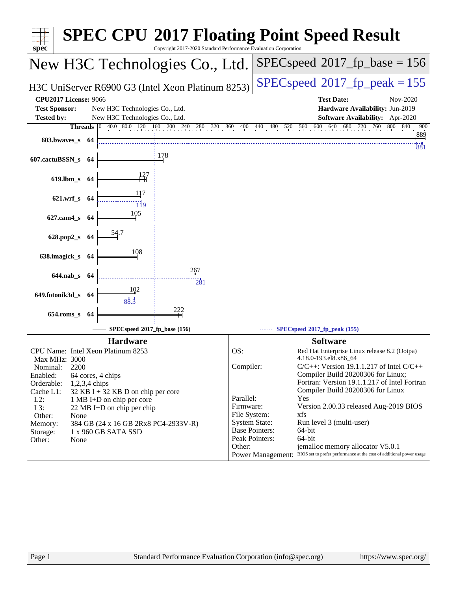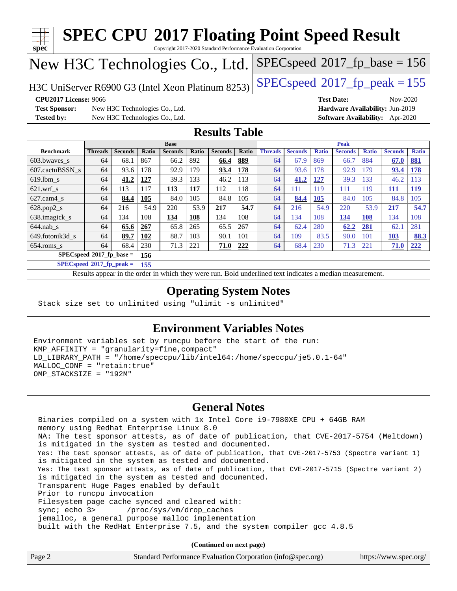| New H3C Technologies Co., Ltd.                                                                                                                                                                                                                    |                                          |                |              |                |            |                      | $SPEC speed^{\circ}2017\_fp\_base = 156$                           |                                                                                                          |              |              |                   |                     |                                                                                        |                   |
|---------------------------------------------------------------------------------------------------------------------------------------------------------------------------------------------------------------------------------------------------|------------------------------------------|----------------|--------------|----------------|------------|----------------------|--------------------------------------------------------------------|----------------------------------------------------------------------------------------------------------|--------------|--------------|-------------------|---------------------|----------------------------------------------------------------------------------------|-------------------|
| H3C UniServer R6900 G3 (Intel Xeon Platinum 8253)                                                                                                                                                                                                 |                                          |                |              |                |            |                      |                                                                    | $SPEC speed^{\circ}2017$ _fp_peak = 155                                                                  |              |              |                   |                     |                                                                                        |                   |
| <b>CPU2017 License: 9066</b>                                                                                                                                                                                                                      |                                          |                |              |                |            |                      |                                                                    |                                                                                                          |              |              | <b>Test Date:</b> |                     | Nov-2020                                                                               |                   |
| <b>Test Sponsor:</b><br>New H3C Technologies Co., Ltd.<br><b>Tested by:</b><br>New H3C Technologies Co., Ltd.                                                                                                                                     |                                          |                |              |                |            |                      | Hardware Availability: Jun-2019<br>Software Availability: Apr-2020 |                                                                                                          |              |              |                   |                     |                                                                                        |                   |
|                                                                                                                                                                                                                                                   |                                          |                |              |                |            | <b>Results Table</b> |                                                                    |                                                                                                          |              |              |                   |                     |                                                                                        |                   |
|                                                                                                                                                                                                                                                   |                                          |                |              | <b>Base</b>    |            |                      |                                                                    |                                                                                                          |              |              | <b>Peak</b>       |                     |                                                                                        |                   |
| <b>Benchmark</b>                                                                                                                                                                                                                                  | Threads                                  | <b>Seconds</b> | Ratio<br>867 | <b>Seconds</b> | Ratio      | <b>Seconds</b>       | Ratio                                                              | <b>Threads</b> Seconds                                                                                   |              | <b>Ratio</b> | <b>Seconds</b>    | <b>Ratio</b><br>884 | <b>Seconds</b>                                                                         | <b>Ratio</b>      |
| 603.bwaves_s<br>607.cactuBSSN_s                                                                                                                                                                                                                   | 64<br>64                                 | 68.1<br>93.6   | 178          | 66.2<br>92.9   | 892<br>179 | 66.4<br>93.4         | 889<br>178                                                         | 64<br>64                                                                                                 | 67.9<br>93.6 | 869<br>178   | 66.7<br>92.9      | 179                 | 67.0<br>93.4                                                                           | 881<br><b>178</b> |
| 619.lbm s                                                                                                                                                                                                                                         | 64                                       | 41.2           | 127          | 39.3           | 133        | 46.2                 | 113                                                                | 64                                                                                                       | 41.2         | 127          | 39.3              | 133                 | 46.2                                                                                   | 113               |
| $621.wrf$ <sub>s</sub>                                                                                                                                                                                                                            | 64                                       | 113            | 117          | <u>113</u>     | 117        | 112                  | 118                                                                | 64                                                                                                       | 111          | 119          | 111               | 119                 | 111                                                                                    | <u>119</u>        |
| $627$ .cam $4$ <sub>s</sub>                                                                                                                                                                                                                       | 64                                       | 84.4           | 105          | 84.0           | 105        | 84.8                 | 105                                                                | 64                                                                                                       | 84.4         | <b>105</b>   | 84.0              | 105                 | 84.8                                                                                   | 105               |
| 628.pop2_s                                                                                                                                                                                                                                        | 64                                       | 216            | 54.9         | 220            | 53.9       | 217                  | 54.7                                                               | 64                                                                                                       | 216          | 54.9         | 220               | 53.9                | 217                                                                                    | 54.7              |
| 638.imagick_s                                                                                                                                                                                                                                     | 64                                       | 134            | 108          | 134            | 108        | 134                  | 108                                                                | 64                                                                                                       | 134          | 108          | 134               | <b>108</b>          | 134                                                                                    | 108               |
| $644.nab_s$                                                                                                                                                                                                                                       | 64                                       | 65.6           | 267          | 65.8           | 265        | 65.5                 | 267                                                                | 64                                                                                                       | 62.4         | 280          | 62.2              | <b>281</b>          | 62.1                                                                                   | 281               |
| 649.fotonik3d_s                                                                                                                                                                                                                                   | 64                                       | 89.7           | 102          | 88.7           | 103        | 90.1                 | 101                                                                | 64                                                                                                       | 109          | 83.5         | 90.0              | 101                 | <b>103</b>                                                                             | 88.3              |
| $654$ .roms_s                                                                                                                                                                                                                                     | 64                                       | 68.4           | 230          | 71.3           | 221        | 71.0                 | 222                                                                | 64                                                                                                       | 68.4         | 230          | 71.3              | 221                 | 71.0                                                                                   | 222               |
|                                                                                                                                                                                                                                                   | SPECspeed®2017_fp_base =                 |                | 156          |                |            |                      |                                                                    |                                                                                                          |              |              |                   |                     |                                                                                        |                   |
|                                                                                                                                                                                                                                                   | $SPECspeed*2017_fp\_peak =$              |                | 155          |                |            |                      |                                                                    |                                                                                                          |              |              |                   |                     |                                                                                        |                   |
|                                                                                                                                                                                                                                                   |                                          |                |              |                |            |                      |                                                                    | Results appear in the order in which they were run. Bold underlined text indicates a median measurement. |              |              |                   |                     |                                                                                        |                   |
| Stack size set to unlimited using "ulimit -s unlimited"                                                                                                                                                                                           |                                          |                |              |                |            |                      |                                                                    | <b>Operating System Notes</b>                                                                            |              |              |                   |                     |                                                                                        |                   |
| Environment variables set by runcpu before the start of the run:<br>KMP_AFFINITY = "granularity=fine, compact"<br>LD_LIBRARY_PATH = "/home/speccpu/lib/intel64:/home/speccpu/je5.0.1-64"<br>MALLOC_CONF = "retain:true"<br>OMP STACKSIZE = "192M" |                                          |                |              |                |            |                      |                                                                    | <b>Environment Variables Notes</b>                                                                       |              |              |                   |                     |                                                                                        |                   |
| Binaries compiled on a system with 1x Intel Core i9-7980XE CPU + 64GB RAM                                                                                                                                                                         | memory using Redhat Enterprise Linux 8.0 |                |              |                |            | <b>General Notes</b> |                                                                    |                                                                                                          |              |              |                   |                     | NA: The test sponsor attests, as of date of publication, that CVE-2017-5754 (Meltdown) |                   |

Filesystem page cache synced and cleared with:

sync; echo 3> /proc/sys/vm/drop\_caches

jemalloc, a general purpose malloc implementation

built with the RedHat Enterprise 7.5, and the system compiler gcc 4.8.5

**(Continued on next page)**

| Page 2<br>Standard Performance Evaluation Corporation (info@spec.org)<br>https://www.spec.org/ |
|------------------------------------------------------------------------------------------------|
|------------------------------------------------------------------------------------------------|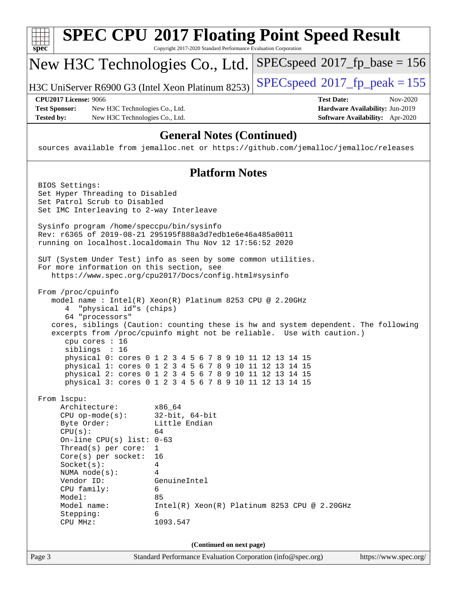| spec <sup>®</sup>                         |                                                                                                                                                                                                                                                                                  | Copyright 2017-2020 Standard Performance Evaluation Corporation                                                                                                                                                                          | <b>SPEC CPU®2017 Floating Point Speed Result</b>                                                                                                            |                                                                                |
|-------------------------------------------|----------------------------------------------------------------------------------------------------------------------------------------------------------------------------------------------------------------------------------------------------------------------------------|------------------------------------------------------------------------------------------------------------------------------------------------------------------------------------------------------------------------------------------|-------------------------------------------------------------------------------------------------------------------------------------------------------------|--------------------------------------------------------------------------------|
|                                           |                                                                                                                                                                                                                                                                                  | New H3C Technologies Co., Ltd.                                                                                                                                                                                                           | $SPEC speed^{\circ}2017\_fp\_base = 156$                                                                                                                    |                                                                                |
|                                           |                                                                                                                                                                                                                                                                                  | H3C UniServer R6900 G3 (Intel Xeon Platinum 8253)                                                                                                                                                                                        | $SPEC speed^{\circ}2017$ _fp_peak = 155                                                                                                                     |                                                                                |
| <b>Test Sponsor:</b><br><b>Tested by:</b> | <b>CPU2017 License: 9066</b><br>New H3C Technologies Co., Ltd.<br>New H3C Technologies Co., Ltd.                                                                                                                                                                                 |                                                                                                                                                                                                                                          | <b>Test Date:</b>                                                                                                                                           | Nov-2020<br>Hardware Availability: Jun-2019<br>Software Availability: Apr-2020 |
|                                           |                                                                                                                                                                                                                                                                                  | <b>General Notes (Continued)</b>                                                                                                                                                                                                         | sources available from jemalloc.net or https://github.com/jemalloc/jemalloc/releases                                                                        |                                                                                |
|                                           |                                                                                                                                                                                                                                                                                  | <b>Platform Notes</b>                                                                                                                                                                                                                    |                                                                                                                                                             |                                                                                |
|                                           | BIOS Settings:<br>Set Hyper Threading to Disabled<br>Set Patrol Scrub to Disabled<br>Set IMC Interleaving to 2-way Interleave                                                                                                                                                    |                                                                                                                                                                                                                                          |                                                                                                                                                             |                                                                                |
|                                           | Sysinfo program /home/speccpu/bin/sysinfo                                                                                                                                                                                                                                        | Rev: r6365 of 2019-08-21 295195f888a3d7edble6e46a485a0011<br>running on localhost.localdomain Thu Nov 12 17:56:52 2020                                                                                                                   |                                                                                                                                                             |                                                                                |
|                                           | For more information on this section, see                                                                                                                                                                                                                                        | SUT (System Under Test) info as seen by some common utilities.<br>https://www.spec.org/cpu2017/Docs/config.html#sysinfo                                                                                                                  |                                                                                                                                                             |                                                                                |
|                                           | From /proc/cpuinfo<br>"physical id"s (chips)<br>4<br>64 "processors"                                                                                                                                                                                                             | model name: $Intel(R)$ Xeon $(R)$ Platinum 8253 CPU @ 2.20GHz                                                                                                                                                                            | cores, siblings (Caution: counting these is hw and system dependent. The following<br>excerpts from /proc/cpuinfo might not be reliable. Use with caution.) |                                                                                |
|                                           | cpu cores : 16<br>siblings : 16                                                                                                                                                                                                                                                  | physical 0: cores 0 1 2 3 4 5 6 7 8 9 10 11 12 13 14 15<br>physical 1: cores 0 1 2 3 4 5 6 7 8 9 10 11 12 13 14 15<br>physical 2: cores 0 1 2 3 4 5 6 7 8 9 10 11 12 13 14 15<br>physical 3: cores 0 1 2 3 4 5 6 7 8 9 10 11 12 13 14 15 |                                                                                                                                                             |                                                                                |
|                                           | From 1scpu:<br>Architecture:<br>$CPU$ op-mode( $s$ ):<br>Byte Order:<br>CPU(s):<br>On-line CPU(s) list: $0-63$<br>Thread( $s$ ) per core:<br>$Core(s)$ per socket:<br>Socket(s):<br>NUMA node(s):<br>Vendor ID:<br>CPU family:<br>Model:<br>Model name:<br>Stepping:<br>CPU MHz: | x86_64<br>$32$ -bit, $64$ -bit<br>Little Endian<br>64<br>1<br>16<br>4<br>4<br>GenuineIntel<br>6<br>85<br>6<br>1093.547                                                                                                                   | $Intel(R) Xeon(R) Platinum 8253 CPU @ 2.20GHz$                                                                                                              |                                                                                |
|                                           |                                                                                                                                                                                                                                                                                  | (Continued on next page)                                                                                                                                                                                                                 |                                                                                                                                                             |                                                                                |
| Page 3                                    |                                                                                                                                                                                                                                                                                  | Standard Performance Evaluation Corporation (info@spec.org)                                                                                                                                                                              |                                                                                                                                                             | https://www.spec.org/                                                          |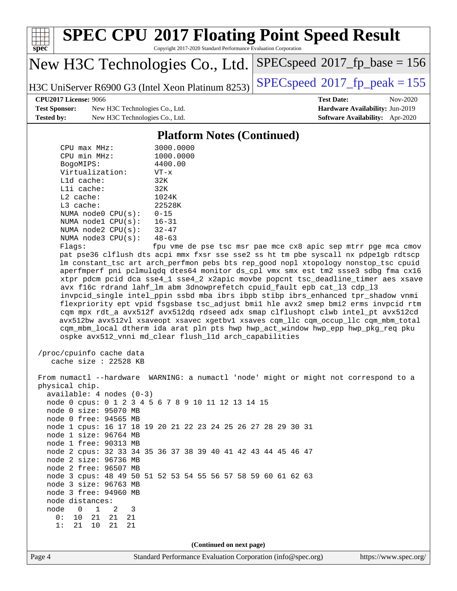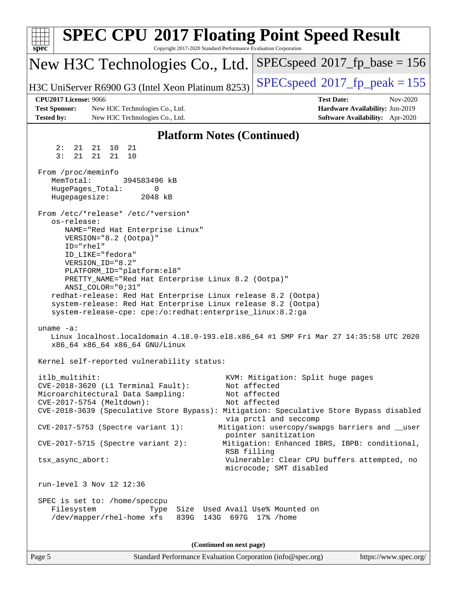| <b>SPEC CPU®2017 Floating Point Speed Result</b><br>Copyright 2017-2020 Standard Performance Evaluation Corporation<br>$spec^*$                                                           |                                                                                                  |
|-------------------------------------------------------------------------------------------------------------------------------------------------------------------------------------------|--------------------------------------------------------------------------------------------------|
| New H3C Technologies Co., Ltd.                                                                                                                                                            | $SPEC speed^{\circ}2017\_fp\_base = 156$                                                         |
| H3C UniServer R6900 G3 (Intel Xeon Platinum 8253)                                                                                                                                         | $SPEC speed^{\circ}2017$ fp peak = 155                                                           |
| <b>CPU2017 License: 9066</b>                                                                                                                                                              | <b>Test Date:</b><br>Nov-2020                                                                    |
| <b>Test Sponsor:</b><br>New H3C Technologies Co., Ltd.                                                                                                                                    | Hardware Availability: Jun-2019                                                                  |
| <b>Tested by:</b><br>New H3C Technologies Co., Ltd.                                                                                                                                       | Software Availability: Apr-2020                                                                  |
| <b>Platform Notes (Continued)</b>                                                                                                                                                         |                                                                                                  |
| 21 10 21<br>2:<br>21<br>3:<br>21<br>21<br>21<br>10                                                                                                                                        |                                                                                                  |
| From /proc/meminfo<br>MemTotal:<br>394583496 kB<br>HugePages_Total:<br>0<br>Hugepagesize:<br>2048 kB                                                                                      |                                                                                                  |
| From /etc/*release* /etc/*version*<br>os-release:<br>NAME="Red Hat Enterprise Linux"                                                                                                      |                                                                                                  |
| VERSION="8.2 (Ootpa)"<br>ID="rhel"<br>ID LIKE="fedora"                                                                                                                                    |                                                                                                  |
| VERSION_ID="8.2"<br>PLATFORM_ID="platform:el8"                                                                                                                                            |                                                                                                  |
| PRETTY_NAME="Red Hat Enterprise Linux 8.2 (Ootpa)"<br>ANSI_COLOR="0;31"                                                                                                                   |                                                                                                  |
| redhat-release: Red Hat Enterprise Linux release 8.2 (Ootpa)<br>system-release: Red Hat Enterprise Linux release 8.2 (Ootpa)<br>system-release-cpe: cpe:/o:redhat:enterprise_linux:8.2:ga |                                                                                                  |
| uname $-a$ :<br>Linux localhost.localdomain 4.18.0-193.el8.x86_64 #1 SMP Fri Mar 27 14:35:58 UTC 2020<br>x86_64 x86_64 x86_64 GNU/Linux                                                   |                                                                                                  |
| Kernel self-reported vulnerability status:                                                                                                                                                |                                                                                                  |
| itlb_multihit:<br>CVE-2018-3620 (L1 Terminal Fault):<br>Microarchitectural Data Sampling:                                                                                                 | KVM: Mitigation: Split huge pages<br>Not affected<br>Not affected                                |
| CVE-2017-5754 (Meltdown):<br>CVE-2018-3639 (Speculative Store Bypass): Mitigation: Speculative Store Bypass disabled                                                                      | Not affected                                                                                     |
| CVE-2017-5753 (Spectre variant 1):                                                                                                                                                        | via prctl and seccomp<br>Mitigation: usercopy/swapgs barriers and __user<br>pointer sanitization |
| $CVE-2017-5715$ (Spectre variant 2):                                                                                                                                                      | Mitigation: Enhanced IBRS, IBPB: conditional,<br>RSB filling                                     |
| tsx_async_abort:                                                                                                                                                                          | Vulnerable: Clear CPU buffers attempted, no<br>microcode; SMT disabled                           |
| run-level 3 Nov 12 12:36                                                                                                                                                                  |                                                                                                  |
| SPEC is set to: /home/speccpu                                                                                                                                                             |                                                                                                  |
| Filesystem<br>Size Used Avail Use% Mounted on<br>Type<br>/dev/mapper/rhel-home xfs<br>839G 143G 697G 17% / home                                                                           |                                                                                                  |
| (Continued on next page)                                                                                                                                                                  |                                                                                                  |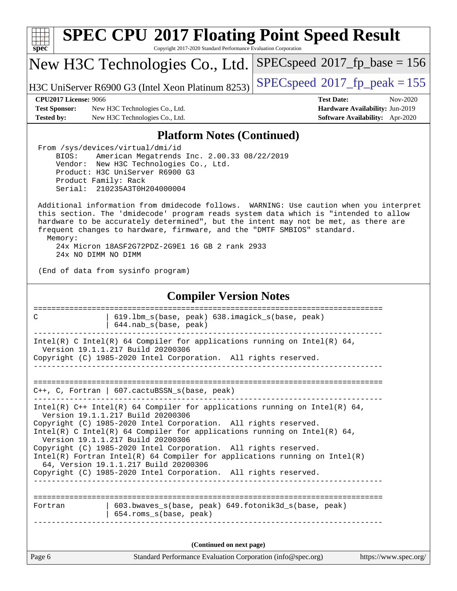

# **[SPEC CPU](http://www.spec.org/auto/cpu2017/Docs/result-fields.html#SPECCPU2017FloatingPointSpeedResult)[2017 Floating Point Speed Result](http://www.spec.org/auto/cpu2017/Docs/result-fields.html#SPECCPU2017FloatingPointSpeedResult)**

Copyright 2017-2020 Standard Performance Evaluation Corporation

New H3C Technologies Co., Ltd.

H3C UniServer R6900 G3 (Intel Xeon Platinum 8253) [SPECspeed](http://www.spec.org/auto/cpu2017/Docs/result-fields.html#SPECspeed2017fppeak)<sup>®</sup>[2017\\_fp\\_peak = 1](http://www.spec.org/auto/cpu2017/Docs/result-fields.html#SPECspeed2017fppeak)55

[SPECspeed](http://www.spec.org/auto/cpu2017/Docs/result-fields.html#SPECspeed2017fpbase)<sup>®</sup>2017 fp base = 156

**[Test Sponsor:](http://www.spec.org/auto/cpu2017/Docs/result-fields.html#TestSponsor)** New H3C Technologies Co., Ltd. **[Hardware Availability:](http://www.spec.org/auto/cpu2017/Docs/result-fields.html#HardwareAvailability)** Jun-2019 **[Tested by:](http://www.spec.org/auto/cpu2017/Docs/result-fields.html#Testedby)** New H3C Technologies Co., Ltd. **[Software Availability:](http://www.spec.org/auto/cpu2017/Docs/result-fields.html#SoftwareAvailability)** Apr-2020

**[CPU2017 License:](http://www.spec.org/auto/cpu2017/Docs/result-fields.html#CPU2017License)** 9066 **[Test Date:](http://www.spec.org/auto/cpu2017/Docs/result-fields.html#TestDate)** Nov-2020

#### **[Platform Notes \(Continued\)](http://www.spec.org/auto/cpu2017/Docs/result-fields.html#PlatformNotes)**

 From /sys/devices/virtual/dmi/id BIOS: American Megatrends Inc. 2.00.33 08/22/2019 Vendor: New H3C Technologies Co., Ltd. Product: H3C UniServer R6900 G3 Product Family: Rack Serial: 210235A3T0H204000004

 Additional information from dmidecode follows. WARNING: Use caution when you interpret this section. The 'dmidecode' program reads system data which is "intended to allow hardware to be accurately determined", but the intent may not be met, as there are frequent changes to hardware, firmware, and the "DMTF SMBIOS" standard. Memory: 24x Micron 18ASF2G72PDZ-2G9E1 16 GB 2 rank 2933

24x NO DIMM NO DIMM

(End of data from sysinfo program)

#### **[Compiler Version Notes](http://www.spec.org/auto/cpu2017/Docs/result-fields.html#CompilerVersionNotes)**

| C                       | 619.1bm s(base, peak) 638.imagick s(base, peak)<br>$644.nab_s(base, peak)$                                                                                                                                                                                                                                                                                                                                                                                                                                                                                           |                       |
|-------------------------|----------------------------------------------------------------------------------------------------------------------------------------------------------------------------------------------------------------------------------------------------------------------------------------------------------------------------------------------------------------------------------------------------------------------------------------------------------------------------------------------------------------------------------------------------------------------|-----------------------|
|                         | Intel(R) C Intel(R) 64 Compiler for applications running on Intel(R) 64,<br>Version 19.1.1.217 Build 20200306<br>Copyright (C) 1985-2020 Intel Corporation. All rights reserved.                                                                                                                                                                                                                                                                                                                                                                                     |                       |
| ----------------------- | $C_{++}$ , C, Fortran   607. cactuBSSN s(base, peak)                                                                                                                                                                                                                                                                                                                                                                                                                                                                                                                 |                       |
|                         | Intel(R) $C++$ Intel(R) 64 Compiler for applications running on Intel(R) 64,<br>Version 19.1.1.217 Build 20200306<br>Copyright (C) 1985-2020 Intel Corporation. All rights reserved.<br>Intel(R) C Intel(R) 64 Compiler for applications running on Intel(R) 64,<br>Version 19.1.1.217 Build 20200306<br>Copyright (C) 1985-2020 Intel Corporation. All rights reserved.<br>$Intel(R)$ Fortran Intel(R) 64 Compiler for applications running on Intel(R)<br>64, Version 19.1.1.217 Build 20200306<br>Copyright (C) 1985-2020 Intel Corporation. All rights reserved. |                       |
| Fortran                 | 603.bwaves_s(base, peak) 649.fotonik3d_s(base, peak)<br>$654.rows_s(base, peak)$                                                                                                                                                                                                                                                                                                                                                                                                                                                                                     |                       |
|                         | (Continued on next page)                                                                                                                                                                                                                                                                                                                                                                                                                                                                                                                                             |                       |
| Page 6                  | Standard Performance Evaluation Corporation (info@spec.org)                                                                                                                                                                                                                                                                                                                                                                                                                                                                                                          | https://www.spec.org/ |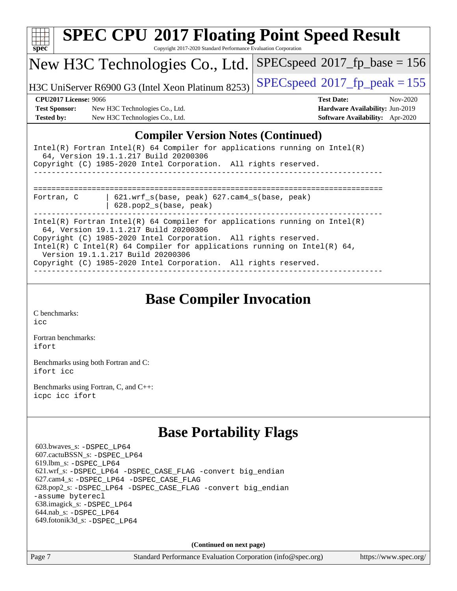| <b>SPEC CPU®2017 Floating Point Speed Result</b><br>$s\overline{pec}$<br>Copyright 2017-2020 Standard Performance Evaluation Corporation                                                 |                                                                                                                     |                                         |  |  |  |  |
|------------------------------------------------------------------------------------------------------------------------------------------------------------------------------------------|---------------------------------------------------------------------------------------------------------------------|-----------------------------------------|--|--|--|--|
|                                                                                                                                                                                          | New H3C Technologies Co., Ltd.                                                                                      | $SPEC speed^{\circ}2017$ fp base = 156  |  |  |  |  |
|                                                                                                                                                                                          | H3C UniServer R6900 G3 (Intel Xeon Platinum 8253)                                                                   | $SPEC speed^{\circ}2017$ _fp_peak = 155 |  |  |  |  |
| <b>CPU2017 License: 9066</b>                                                                                                                                                             |                                                                                                                     | <b>Test Date:</b><br>$Nov-2020$         |  |  |  |  |
| <b>Test Sponsor:</b>                                                                                                                                                                     | New H3C Technologies Co., Ltd.                                                                                      | Hardware Availability: Jun-2019         |  |  |  |  |
| <b>Tested by:</b>                                                                                                                                                                        | New H3C Technologies Co., Ltd.                                                                                      | Software Availability: Apr-2020         |  |  |  |  |
|                                                                                                                                                                                          | <b>Compiler Version Notes (Continued)</b>                                                                           |                                         |  |  |  |  |
| $Intel(R)$ Fortran Intel(R) 64 Compiler for applications running on Intel(R)<br>64, Version 19.1.1.217 Build 20200306<br>Copyright (C) 1985-2020 Intel Corporation. All rights reserved. |                                                                                                                     |                                         |  |  |  |  |
|                                                                                                                                                                                          |                                                                                                                     |                                         |  |  |  |  |
| Fortran, C                                                                                                                                                                               | $621.wrf_s(base, peak)$ $627.cam4_s(base, peak)$<br>$628. pop2_s(base, peak)$                                       |                                         |  |  |  |  |
|                                                                                                                                                                                          | Intel(R) Fortran Intel(R) 64 Compiler for applications running on Intel(R)<br>64, Version 19.1.1.217 Build 20200306 |                                         |  |  |  |  |
|                                                                                                                                                                                          | Copyright (C) 1985-2020 Intel Corporation. All rights reserved.                                                     |                                         |  |  |  |  |
|                                                                                                                                                                                          | Intel(R) C Intel(R) 64 Compiler for applications running on Intel(R) 64,<br>Version 19.1.1.217 Build 20200306       |                                         |  |  |  |  |

**[Base Compiler Invocation](http://www.spec.org/auto/cpu2017/Docs/result-fields.html#BaseCompilerInvocation)**

[C benchmarks](http://www.spec.org/auto/cpu2017/Docs/result-fields.html#Cbenchmarks):

[icc](http://www.spec.org/cpu2017/results/res2020q4/cpu2017-20201116-24391.flags.html#user_CCbase_intel_icc_66fc1ee009f7361af1fbd72ca7dcefbb700085f36577c54f309893dd4ec40d12360134090235512931783d35fd58c0460139e722d5067c5574d8eaf2b3e37e92)

[Fortran benchmarks](http://www.spec.org/auto/cpu2017/Docs/result-fields.html#Fortranbenchmarks): [ifort](http://www.spec.org/cpu2017/results/res2020q4/cpu2017-20201116-24391.flags.html#user_FCbase_intel_ifort_8111460550e3ca792625aed983ce982f94888b8b503583aa7ba2b8303487b4d8a21a13e7191a45c5fd58ff318f48f9492884d4413fa793fd88dd292cad7027ca)

[Benchmarks using both Fortran and C](http://www.spec.org/auto/cpu2017/Docs/result-fields.html#BenchmarksusingbothFortranandC): [ifort](http://www.spec.org/cpu2017/results/res2020q4/cpu2017-20201116-24391.flags.html#user_CC_FCbase_intel_ifort_8111460550e3ca792625aed983ce982f94888b8b503583aa7ba2b8303487b4d8a21a13e7191a45c5fd58ff318f48f9492884d4413fa793fd88dd292cad7027ca) [icc](http://www.spec.org/cpu2017/results/res2020q4/cpu2017-20201116-24391.flags.html#user_CC_FCbase_intel_icc_66fc1ee009f7361af1fbd72ca7dcefbb700085f36577c54f309893dd4ec40d12360134090235512931783d35fd58c0460139e722d5067c5574d8eaf2b3e37e92)

[Benchmarks using Fortran, C, and C++:](http://www.spec.org/auto/cpu2017/Docs/result-fields.html#BenchmarksusingFortranCandCXX) [icpc](http://www.spec.org/cpu2017/results/res2020q4/cpu2017-20201116-24391.flags.html#user_CC_CXX_FCbase_intel_icpc_c510b6838c7f56d33e37e94d029a35b4a7bccf4766a728ee175e80a419847e808290a9b78be685c44ab727ea267ec2f070ec5dc83b407c0218cded6866a35d07) [icc](http://www.spec.org/cpu2017/results/res2020q4/cpu2017-20201116-24391.flags.html#user_CC_CXX_FCbase_intel_icc_66fc1ee009f7361af1fbd72ca7dcefbb700085f36577c54f309893dd4ec40d12360134090235512931783d35fd58c0460139e722d5067c5574d8eaf2b3e37e92) [ifort](http://www.spec.org/cpu2017/results/res2020q4/cpu2017-20201116-24391.flags.html#user_CC_CXX_FCbase_intel_ifort_8111460550e3ca792625aed983ce982f94888b8b503583aa7ba2b8303487b4d8a21a13e7191a45c5fd58ff318f48f9492884d4413fa793fd88dd292cad7027ca)

### **[Base Portability Flags](http://www.spec.org/auto/cpu2017/Docs/result-fields.html#BasePortabilityFlags)**

 603.bwaves\_s: [-DSPEC\\_LP64](http://www.spec.org/cpu2017/results/res2020q4/cpu2017-20201116-24391.flags.html#suite_basePORTABILITY603_bwaves_s_DSPEC_LP64) 607.cactuBSSN\_s: [-DSPEC\\_LP64](http://www.spec.org/cpu2017/results/res2020q4/cpu2017-20201116-24391.flags.html#suite_basePORTABILITY607_cactuBSSN_s_DSPEC_LP64) 619.lbm\_s: [-DSPEC\\_LP64](http://www.spec.org/cpu2017/results/res2020q4/cpu2017-20201116-24391.flags.html#suite_basePORTABILITY619_lbm_s_DSPEC_LP64) 621.wrf\_s: [-DSPEC\\_LP64](http://www.spec.org/cpu2017/results/res2020q4/cpu2017-20201116-24391.flags.html#suite_basePORTABILITY621_wrf_s_DSPEC_LP64) [-DSPEC\\_CASE\\_FLAG](http://www.spec.org/cpu2017/results/res2020q4/cpu2017-20201116-24391.flags.html#b621.wrf_s_baseCPORTABILITY_DSPEC_CASE_FLAG) [-convert big\\_endian](http://www.spec.org/cpu2017/results/res2020q4/cpu2017-20201116-24391.flags.html#user_baseFPORTABILITY621_wrf_s_convert_big_endian_c3194028bc08c63ac5d04de18c48ce6d347e4e562e8892b8bdbdc0214820426deb8554edfa529a3fb25a586e65a3d812c835984020483e7e73212c4d31a38223) 627.cam4\_s: [-DSPEC\\_LP64](http://www.spec.org/cpu2017/results/res2020q4/cpu2017-20201116-24391.flags.html#suite_basePORTABILITY627_cam4_s_DSPEC_LP64) [-DSPEC\\_CASE\\_FLAG](http://www.spec.org/cpu2017/results/res2020q4/cpu2017-20201116-24391.flags.html#b627.cam4_s_baseCPORTABILITY_DSPEC_CASE_FLAG) 628.pop2\_s: [-DSPEC\\_LP64](http://www.spec.org/cpu2017/results/res2020q4/cpu2017-20201116-24391.flags.html#suite_basePORTABILITY628_pop2_s_DSPEC_LP64) [-DSPEC\\_CASE\\_FLAG](http://www.spec.org/cpu2017/results/res2020q4/cpu2017-20201116-24391.flags.html#b628.pop2_s_baseCPORTABILITY_DSPEC_CASE_FLAG) [-convert big\\_endian](http://www.spec.org/cpu2017/results/res2020q4/cpu2017-20201116-24391.flags.html#user_baseFPORTABILITY628_pop2_s_convert_big_endian_c3194028bc08c63ac5d04de18c48ce6d347e4e562e8892b8bdbdc0214820426deb8554edfa529a3fb25a586e65a3d812c835984020483e7e73212c4d31a38223) [-assume byterecl](http://www.spec.org/cpu2017/results/res2020q4/cpu2017-20201116-24391.flags.html#user_baseFPORTABILITY628_pop2_s_assume_byterecl_7e47d18b9513cf18525430bbf0f2177aa9bf368bc7a059c09b2c06a34b53bd3447c950d3f8d6c70e3faf3a05c8557d66a5798b567902e8849adc142926523472) 638.imagick\_s: [-DSPEC\\_LP64](http://www.spec.org/cpu2017/results/res2020q4/cpu2017-20201116-24391.flags.html#suite_basePORTABILITY638_imagick_s_DSPEC_LP64) 644.nab\_s: [-DSPEC\\_LP64](http://www.spec.org/cpu2017/results/res2020q4/cpu2017-20201116-24391.flags.html#suite_basePORTABILITY644_nab_s_DSPEC_LP64) 649.fotonik3d\_s: [-DSPEC\\_LP64](http://www.spec.org/cpu2017/results/res2020q4/cpu2017-20201116-24391.flags.html#suite_basePORTABILITY649_fotonik3d_s_DSPEC_LP64)

**(Continued on next page)**

Page 7 Standard Performance Evaluation Corporation [\(info@spec.org\)](mailto:info@spec.org) <https://www.spec.org/>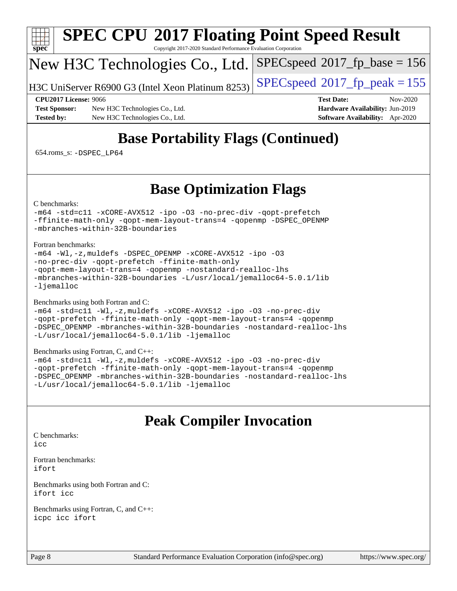

# **[SPEC CPU](http://www.spec.org/auto/cpu2017/Docs/result-fields.html#SPECCPU2017FloatingPointSpeedResult)[2017 Floating Point Speed Result](http://www.spec.org/auto/cpu2017/Docs/result-fields.html#SPECCPU2017FloatingPointSpeedResult)**

Copyright 2017-2020 Standard Performance Evaluation Corporation

## New H3C Technologies Co., Ltd.

H3C UniServer R6900 G3 (Intel Xeon Platinum  $8253$ ) [SPECspeed](http://www.spec.org/auto/cpu2017/Docs/result-fields.html#SPECspeed2017fppeak)<sup>®</sup>[2017\\_fp\\_peak = 1](http://www.spec.org/auto/cpu2017/Docs/result-fields.html#SPECspeed2017fppeak)55

[SPECspeed](http://www.spec.org/auto/cpu2017/Docs/result-fields.html#SPECspeed2017fpbase)<sup>®</sup>2017 fp base = 156

**[Test Sponsor:](http://www.spec.org/auto/cpu2017/Docs/result-fields.html#TestSponsor)** New H3C Technologies Co., Ltd. **[Hardware Availability:](http://www.spec.org/auto/cpu2017/Docs/result-fields.html#HardwareAvailability)** Jun-2019 **[Tested by:](http://www.spec.org/auto/cpu2017/Docs/result-fields.html#Testedby)** New H3C Technologies Co., Ltd. **[Software Availability:](http://www.spec.org/auto/cpu2017/Docs/result-fields.html#SoftwareAvailability)** Apr-2020

**[CPU2017 License:](http://www.spec.org/auto/cpu2017/Docs/result-fields.html#CPU2017License)** 9066 **[Test Date:](http://www.spec.org/auto/cpu2017/Docs/result-fields.html#TestDate)** Nov-2020

## **[Base Portability Flags \(Continued\)](http://www.spec.org/auto/cpu2017/Docs/result-fields.html#BasePortabilityFlags)**

654.roms\_s: [-DSPEC\\_LP64](http://www.spec.org/cpu2017/results/res2020q4/cpu2017-20201116-24391.flags.html#suite_basePORTABILITY654_roms_s_DSPEC_LP64)

### **[Base Optimization Flags](http://www.spec.org/auto/cpu2017/Docs/result-fields.html#BaseOptimizationFlags)**

[C benchmarks](http://www.spec.org/auto/cpu2017/Docs/result-fields.html#Cbenchmarks):

[-m64](http://www.spec.org/cpu2017/results/res2020q4/cpu2017-20201116-24391.flags.html#user_CCbase_m64-icc) [-std=c11](http://www.spec.org/cpu2017/results/res2020q4/cpu2017-20201116-24391.flags.html#user_CCbase_std-icc-std_0e1c27790398a4642dfca32ffe6c27b5796f9c2d2676156f2e42c9c44eaad0c049b1cdb667a270c34d979996257aeb8fc440bfb01818dbc9357bd9d174cb8524) [-xCORE-AVX512](http://www.spec.org/cpu2017/results/res2020q4/cpu2017-20201116-24391.flags.html#user_CCbase_f-xCORE-AVX512) [-ipo](http://www.spec.org/cpu2017/results/res2020q4/cpu2017-20201116-24391.flags.html#user_CCbase_f-ipo) [-O3](http://www.spec.org/cpu2017/results/res2020q4/cpu2017-20201116-24391.flags.html#user_CCbase_f-O3) [-no-prec-div](http://www.spec.org/cpu2017/results/res2020q4/cpu2017-20201116-24391.flags.html#user_CCbase_f-no-prec-div) [-qopt-prefetch](http://www.spec.org/cpu2017/results/res2020q4/cpu2017-20201116-24391.flags.html#user_CCbase_f-qopt-prefetch) [-ffinite-math-only](http://www.spec.org/cpu2017/results/res2020q4/cpu2017-20201116-24391.flags.html#user_CCbase_f_finite_math_only_cb91587bd2077682c4b38af759c288ed7c732db004271a9512da14a4f8007909a5f1427ecbf1a0fb78ff2a814402c6114ac565ca162485bbcae155b5e4258871) [-qopt-mem-layout-trans=4](http://www.spec.org/cpu2017/results/res2020q4/cpu2017-20201116-24391.flags.html#user_CCbase_f-qopt-mem-layout-trans_fa39e755916c150a61361b7846f310bcdf6f04e385ef281cadf3647acec3f0ae266d1a1d22d972a7087a248fd4e6ca390a3634700869573d231a252c784941a8) [-qopenmp](http://www.spec.org/cpu2017/results/res2020q4/cpu2017-20201116-24391.flags.html#user_CCbase_qopenmp_16be0c44f24f464004c6784a7acb94aca937f053568ce72f94b139a11c7c168634a55f6653758ddd83bcf7b8463e8028bb0b48b77bcddc6b78d5d95bb1df2967) [-DSPEC\\_OPENMP](http://www.spec.org/cpu2017/results/res2020q4/cpu2017-20201116-24391.flags.html#suite_CCbase_DSPEC_OPENMP) [-mbranches-within-32B-boundaries](http://www.spec.org/cpu2017/results/res2020q4/cpu2017-20201116-24391.flags.html#user_CCbase_f-mbranches-within-32B-boundaries)

#### [Fortran benchmarks](http://www.spec.org/auto/cpu2017/Docs/result-fields.html#Fortranbenchmarks):

```
-m64 -Wl,-z,muldefs -DSPEC_OPENMP -xCORE-AVX512 -ipo -O3
-no-prec-div -qopt-prefetch -ffinite-math-only
-qopt-mem-layout-trans=4 -qopenmp -nostandard-realloc-lhs
-mbranches-within-32B-boundaries -L/usr/local/jemalloc64-5.0.1/lib
-ljemalloc
```
#### [Benchmarks using both Fortran and C](http://www.spec.org/auto/cpu2017/Docs/result-fields.html#BenchmarksusingbothFortranandC):

```
-m64 -std=c11 -Wl,-z,muldefs -xCORE-AVX512 -ipo -O3 -no-prec-div
-qopt-prefetch -ffinite-math-only -qopt-mem-layout-trans=4 -qopenmp
-DSPEC_OPENMP -mbranches-within-32B-boundaries -nostandard-realloc-lhs
-L/usr/local/jemalloc64-5.0.1/lib -ljemalloc
```
#### [Benchmarks using Fortran, C, and C++:](http://www.spec.org/auto/cpu2017/Docs/result-fields.html#BenchmarksusingFortranCandCXX)

```
-m64 -std=c11 -Wl,-z,muldefs -xCORE-AVX512 -ipo -O3 -no-prec-div
-qopt-prefetch -ffinite-math-only -qopt-mem-layout-trans=4 -qopenmp
-DSPEC_OPENMP -mbranches-within-32B-boundaries -nostandard-realloc-lhs
-L/usr/local/jemalloc64-5.0.1/lib -ljemalloc
```
### **[Peak Compiler Invocation](http://www.spec.org/auto/cpu2017/Docs/result-fields.html#PeakCompilerInvocation)**

[C benchmarks](http://www.spec.org/auto/cpu2017/Docs/result-fields.html#Cbenchmarks):

[icc](http://www.spec.org/cpu2017/results/res2020q4/cpu2017-20201116-24391.flags.html#user_CCpeak_intel_icc_66fc1ee009f7361af1fbd72ca7dcefbb700085f36577c54f309893dd4ec40d12360134090235512931783d35fd58c0460139e722d5067c5574d8eaf2b3e37e92)

[Fortran benchmarks](http://www.spec.org/auto/cpu2017/Docs/result-fields.html#Fortranbenchmarks): [ifort](http://www.spec.org/cpu2017/results/res2020q4/cpu2017-20201116-24391.flags.html#user_FCpeak_intel_ifort_8111460550e3ca792625aed983ce982f94888b8b503583aa7ba2b8303487b4d8a21a13e7191a45c5fd58ff318f48f9492884d4413fa793fd88dd292cad7027ca)

[Benchmarks using both Fortran and C](http://www.spec.org/auto/cpu2017/Docs/result-fields.html#BenchmarksusingbothFortranandC): [ifort](http://www.spec.org/cpu2017/results/res2020q4/cpu2017-20201116-24391.flags.html#user_CC_FCpeak_intel_ifort_8111460550e3ca792625aed983ce982f94888b8b503583aa7ba2b8303487b4d8a21a13e7191a45c5fd58ff318f48f9492884d4413fa793fd88dd292cad7027ca) [icc](http://www.spec.org/cpu2017/results/res2020q4/cpu2017-20201116-24391.flags.html#user_CC_FCpeak_intel_icc_66fc1ee009f7361af1fbd72ca7dcefbb700085f36577c54f309893dd4ec40d12360134090235512931783d35fd58c0460139e722d5067c5574d8eaf2b3e37e92)

[Benchmarks using Fortran, C, and C++:](http://www.spec.org/auto/cpu2017/Docs/result-fields.html#BenchmarksusingFortranCandCXX) [icpc](http://www.spec.org/cpu2017/results/res2020q4/cpu2017-20201116-24391.flags.html#user_CC_CXX_FCpeak_intel_icpc_c510b6838c7f56d33e37e94d029a35b4a7bccf4766a728ee175e80a419847e808290a9b78be685c44ab727ea267ec2f070ec5dc83b407c0218cded6866a35d07) [icc](http://www.spec.org/cpu2017/results/res2020q4/cpu2017-20201116-24391.flags.html#user_CC_CXX_FCpeak_intel_icc_66fc1ee009f7361af1fbd72ca7dcefbb700085f36577c54f309893dd4ec40d12360134090235512931783d35fd58c0460139e722d5067c5574d8eaf2b3e37e92) [ifort](http://www.spec.org/cpu2017/results/res2020q4/cpu2017-20201116-24391.flags.html#user_CC_CXX_FCpeak_intel_ifort_8111460550e3ca792625aed983ce982f94888b8b503583aa7ba2b8303487b4d8a21a13e7191a45c5fd58ff318f48f9492884d4413fa793fd88dd292cad7027ca)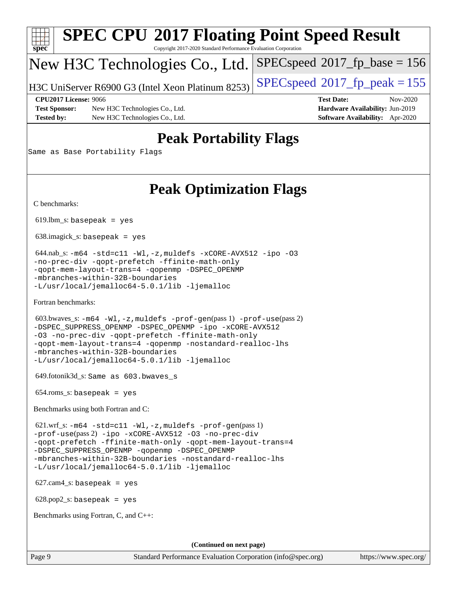